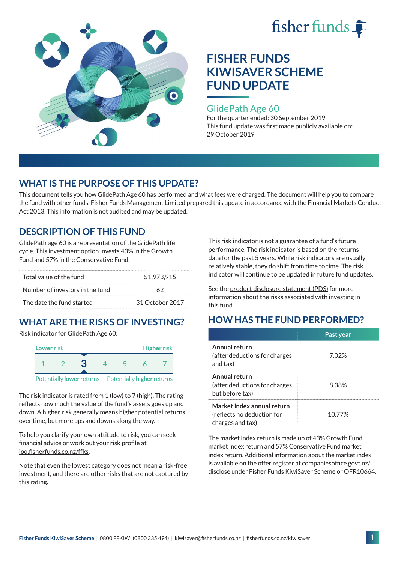



### GlidePath Age 60

For the quarter ended: 30 September 2019 This fund update was first made publicly available on: 29 October 2019

# **WHAT IS THE PURPOSE OF THIS UPDATE?**

This document tells you how GlidePath Age 60 has performed and what fees were charged. The document will help you to compare the fund with other funds. Fisher Funds Management Limited prepared this update in accordance with the Financial Markets Conduct Act 2013. This information is not audited and may be updated.

# **DESCRIPTION OF THIS FUND**

GlidePath age 60 is a representation of the GlidePath life cycle. This investment option invests 43% in the Growth Fund and 57% in the Conservative Fund.

| Total value of the fund         | \$1,973,915     |  |
|---------------------------------|-----------------|--|
| Number of investors in the fund | 62              |  |
| The date the fund started       | 31 October 2017 |  |

# **WHAT ARE THE RISKS OF INVESTING?**

Risk indicator for GlidePath Age 60:



Potentially **lower** returns Potentially **higher** returns

The risk indicator is rated from 1 (low) to 7 (high). The rating reflects how much the value of the fund's assets goes up and down. A higher risk generally means higher potential returns over time, but more ups and downs along the way.

To help you clarify your own attitude to risk, you can seek financial advice or work out your risk profile at [ipq.fisherfunds.co.nz/ffks](https://ipq.fisherfunds.co.nz/ffks).

Note that even the lowest category does not mean a risk-free investment, and there are other risks that are not captured by this rating.

This risk indicator is not a guarantee of a fund's future performance. The risk indicator is based on the returns data for the past 5 years. While risk indicators are usually relatively stable, they do shift from time to time. The risk indicator will continue to be updated in future fund updates.

See the [product disclosure statement \(PDS\)](https://fisherfunds.co.nz/assets/PDS/Fisher-Funds-KiwiSaver-Scheme-PDS.pdf) for more information about the risks associated with investing in this fund.

# **HOW HAS THE FUND PERFORMED?**

|                                                                              | Past year |
|------------------------------------------------------------------------------|-----------|
| Annual return<br>(after deductions for charges<br>and tax)                   | 7.02%     |
| Annual return<br>(after deductions for charges<br>but before tax)            | 8.38%     |
| Market index annual return<br>(reflects no deduction for<br>charges and tax) | 10.77%    |

The market index return is made up of 43% Growth Fund market index return and 57% Conservative Fund market index return. Additional information about the market index is available on the offer register at [companiesoffice.govt.nz/](http://companiesoffice.govt.nz/disclose) [disclose](http://companiesoffice.govt.nz/disclose) under Fisher Funds KiwiSaver Scheme or OFR10664.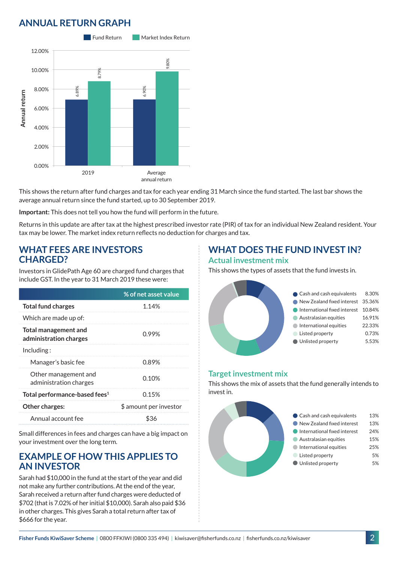# **ANNUAL RETURN GRAPH**



This shows the return after fund charges and tax for each year ending 31 March since the fund started. The last bar shows the average annual return since the fund started, up to 30 September 2019.

**Important:** This does not tell you how the fund will perform in the future.

Returns in this update are after tax at the highest prescribed investor rate (PIR) of tax for an individual New Zealand resident. Your tax may be lower. The market index return reflects no deduction for charges and tax.

### **WHAT FEES ARE INVESTORS CHARGED?**

Investors in GlidePath Age 60 are charged fund charges that include GST. In the year to 31 March 2019 these were:

|                                                | % of net asset value   |
|------------------------------------------------|------------------------|
| <b>Total fund charges</b>                      | 1.14%                  |
| Which are made up of:                          |                        |
| Total management and<br>administration charges | በ 99%                  |
| Including:                                     |                        |
| Manager's basic fee                            | 0.89%                  |
| Other management and<br>administration charges | 0.10%                  |
| Total performance-based fees <sup>1</sup>      | 0.15%                  |
| <b>Other charges:</b>                          | \$ amount per investor |
| Annual account fee                             | \$36                   |

Small differences in fees and charges can have a big impact on your investment over the long term.

### **EXAMPLE OF HOW THIS APPLIES TO AN INVESTOR**

Sarah had \$10,000 in the fund at the start of the year and did not make any further contributions. At the end of the year, Sarah received a return after fund charges were deducted of \$702 (that is 7.02% of her initial \$10,000). Sarah also paid \$36 in other charges. This gives Sarah a total return after tax of \$666 for the year.

## **WHAT DOES THE FUND INVEST IN? Actual investment mix**

This shows the types of assets that the fund invests in.



#### **Target investment mix**

This shows the mix of assets that the fund generally intends to invest in.